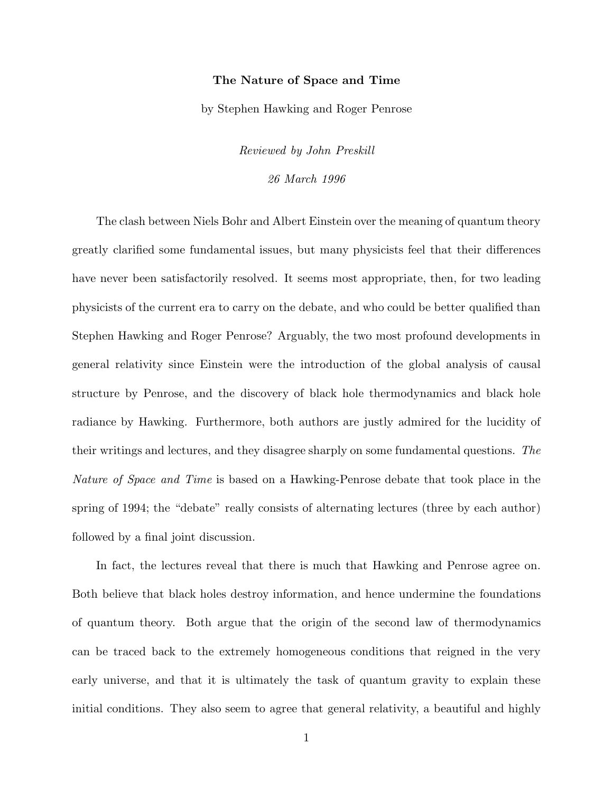## The Nature of Space and Time

by Stephen Hawking and Roger Penrose

Reviewed by John Preskill 26 March 1996

The clash between Niels Bohr and Albert Einstein over the meaning of quantum theory greatly clarified some fundamental issues, but many physicists feel that their differences have never been satisfactorily resolved. It seems most appropriate, then, for two leading physicists of the current era to carry on the debate, and who could be better qualified than Stephen Hawking and Roger Penrose? Arguably, the two most profound developments in general relativity since Einstein were the introduction of the global analysis of causal structure by Penrose, and the discovery of black hole thermodynamics and black hole radiance by Hawking. Furthermore, both authors are justly admired for the lucidity of their writings and lectures, and they disagree sharply on some fundamental questions. The Nature of Space and Time is based on a Hawking-Penrose debate that took place in the spring of 1994; the "debate" really consists of alternating lectures (three by each author) followed by a final joint discussion.

In fact, the lectures reveal that there is much that Hawking and Penrose agree on. Both believe that black holes destroy information, and hence undermine the foundations of quantum theory. Both argue that the origin of the second law of thermodynamics can be traced back to the extremely homogeneous conditions that reigned in the very early universe, and that it is ultimately the task of quantum gravity to explain these initial conditions. They also seem to agree that general relativity, a beautiful and highly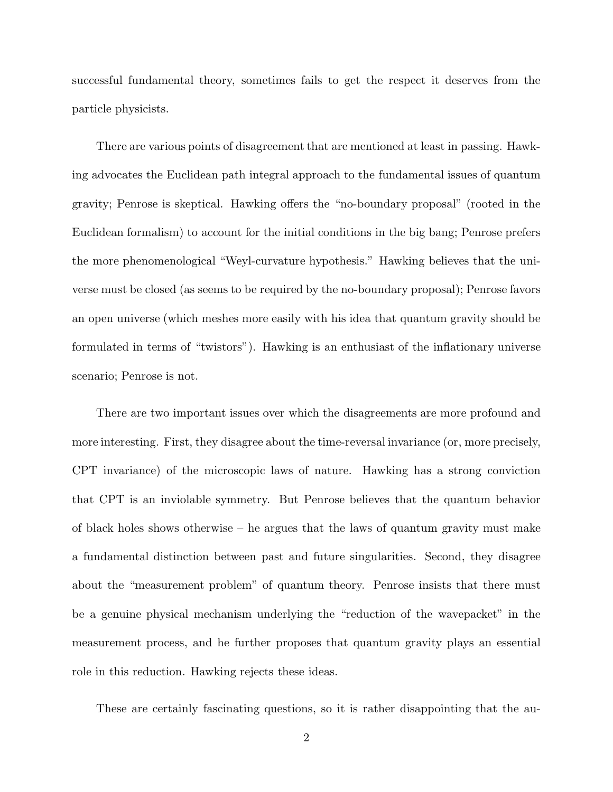successful fundamental theory, sometimes fails to get the respect it deserves from the particle physicists.

There are various points of disagreement that are mentioned at least in passing. Hawking advocates the Euclidean path integral approach to the fundamental issues of quantum gravity; Penrose is skeptical. Hawking offers the "no-boundary proposal" (rooted in the Euclidean formalism) to account for the initial conditions in the big bang; Penrose prefers the more phenomenological "Weyl-curvature hypothesis." Hawking believes that the universe must be closed (as seems to be required by the no-boundary proposal); Penrose favors an open universe (which meshes more easily with his idea that quantum gravity should be formulated in terms of "twistors"). Hawking is an enthusiast of the inflationary universe scenario; Penrose is not.

There are two important issues over which the disagreements are more profound and more interesting. First, they disagree about the time-reversal invariance (or, more precisely, CPT invariance) of the microscopic laws of nature. Hawking has a strong conviction that CPT is an inviolable symmetry. But Penrose believes that the quantum behavior of black holes shows otherwise – he argues that the laws of quantum gravity must make a fundamental distinction between past and future singularities. Second, they disagree about the "measurement problem" of quantum theory. Penrose insists that there must be a genuine physical mechanism underlying the "reduction of the wavepacket" in the measurement process, and he further proposes that quantum gravity plays an essential role in this reduction. Hawking rejects these ideas.

These are certainly fascinating questions, so it is rather disappointing that the au-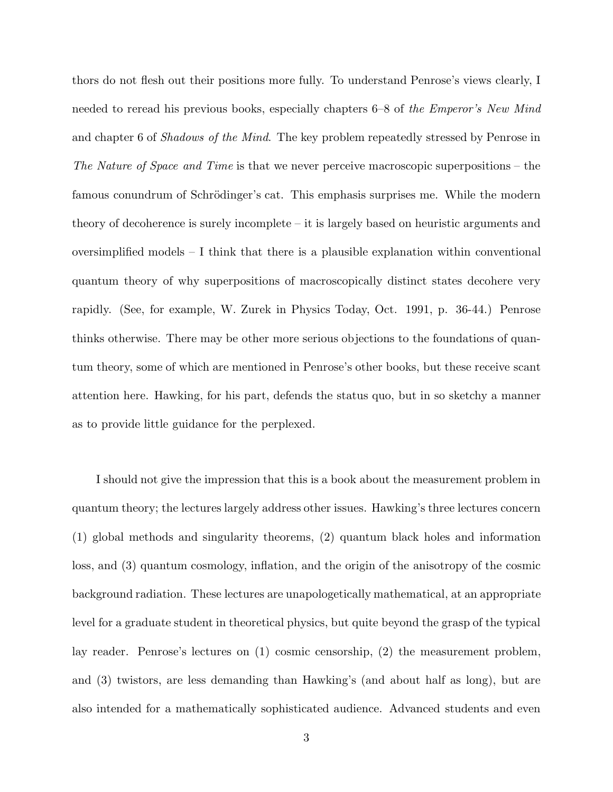thors do not flesh out their positions more fully. To understand Penrose's views clearly, I needed to reread his previous books, especially chapters 6–8 of the *Emperor's New Mind* and chapter 6 of Shadows of the Mind. The key problem repeatedly stressed by Penrose in The Nature of Space and Time is that we never perceive macroscopic superpositions – the famous conundrum of Schrödinger's cat. This emphasis surprises me. While the modern theory of decoherence is surely incomplete – it is largely based on heuristic arguments and oversimplified models – I think that there is a plausible explanation within conventional quantum theory of why superpositions of macroscopically distinct states decohere very rapidly. (See, for example, W. Zurek in Physics Today, Oct. 1991, p. 36-44.) Penrose thinks otherwise. There may be other more serious objections to the foundations of quantum theory, some of which are mentioned in Penrose's other books, but these receive scant attention here. Hawking, for his part, defends the status quo, but in so sketchy a manner as to provide little guidance for the perplexed.

I should not give the impression that this is a book about the measurement problem in quantum theory; the lectures largely address other issues. Hawking's three lectures concern (1) global methods and singularity theorems, (2) quantum black holes and information loss, and (3) quantum cosmology, inflation, and the origin of the anisotropy of the cosmic background radiation. These lectures are unapologetically mathematical, at an appropriate level for a graduate student in theoretical physics, but quite beyond the grasp of the typical lay reader. Penrose's lectures on (1) cosmic censorship, (2) the measurement problem, and (3) twistors, are less demanding than Hawking's (and about half as long), but are also intended for a mathematically sophisticated audience. Advanced students and even